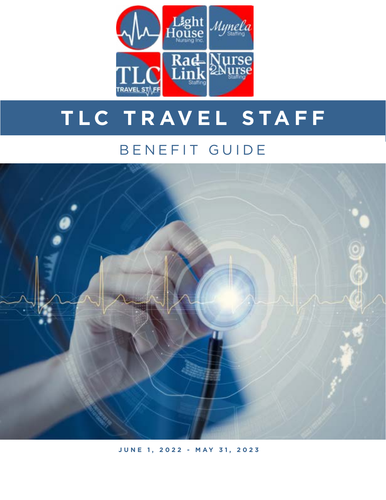

# **TLC TRAVEL STAFF**

## BENEFIT GUIDE



**JUNE 1, 2022 - MAY 31, 2023**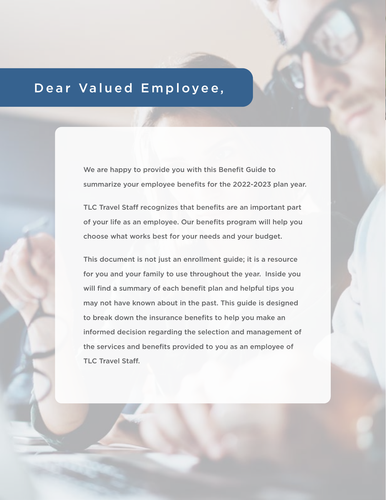### Dear Valued Employee,

We are happy to provide you with this Benefit Guide to summarize your employee benefits for the 2022-2023 plan year.

TLC Travel Staff recognizes that benefits are an important part of your life as an employee. Our benefits program will help you choose what works best for your needs and your budget.

This document is not just an enrollment guide; it is a resource for you and your family to use throughout the year. Inside you will find a summary of each benefit plan and helpful tips you may not have known about in the past. This guide is designed to break down the insurance benefits to help you make an informed decision regarding the selection and management of the services and benefits provided to you as an employee of TLC Travel Staff.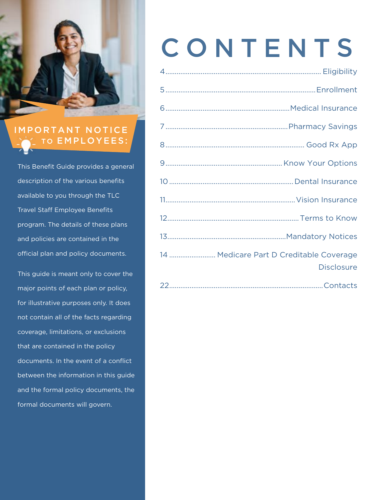<span id="page-2-0"></span>

### **IMPORTANT NOTICE** TO EMPLOYEES:

This Benefit Guide provides a general description of the various benefits available to you through the TLC Travel Staff Employee Benefits program. The details of these plans and policies are contained in the official plan and policy documents.

This guide is meant only to cover the major points of each plan or policy, for illustrative purposes only. It does not contain all of the facts regarding coverage, limitations, or exclusions that are contained in the policy documents. In the event of a conflict between the information in this guide and the formal policy documents, the formal documents will govern.

# **CONTENTS**

| 14  Medicare Part D Creditable Coverage<br><b>Disclosure</b> |
|--------------------------------------------------------------|
|                                                              |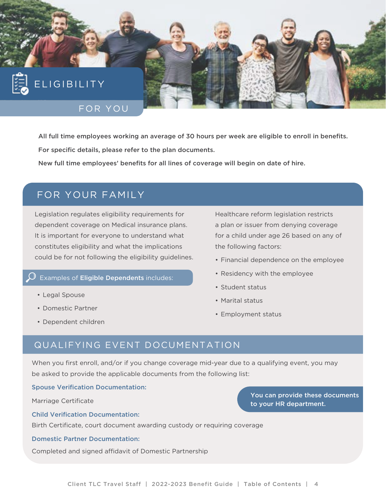<span id="page-3-0"></span>

All full time employees working an average of 30 hours per week are eligible to enroll in benefits.

For specific details, please refer to the plan documents.

New full time employees' benefits for all lines of coverage will begin on date of hire.

### FOR YOUR FAMILY

Legislation regulates eligibility requirements for dependent coverage on Medical insurance plans. It is important for everyone to understand what constitutes eligibility and what the implications could be for not following the eligibility guidelines.

#### $\mathcal Q$  Examples of **Eligible Dependents** includes:

- Legal Spouse
- Domestic Partner
- Dependent children

Healthcare reform legislation restricts a plan or issuer from denying coverage for a child under age 26 based on any of the following factors:

- Financial dependence on the employee
- Residency with the employee
- Student status
- Marital status
- Employment status

### QUALIFYING EVENT DOCUMENTATION

When you first enroll, and/or if you change coverage mid-year due to a qualifying event, you may be asked to provide the applicable documents from the following list:

Spouse Verification Documentation:

Marriage Certificate

Child Verification Documentation:

Birth Certificate, court document awarding custody or requiring coverage

#### Domestic Partner Documentation:

Completed and signed affidavit of Domestic Partnership

You can provide these documents to your HR department.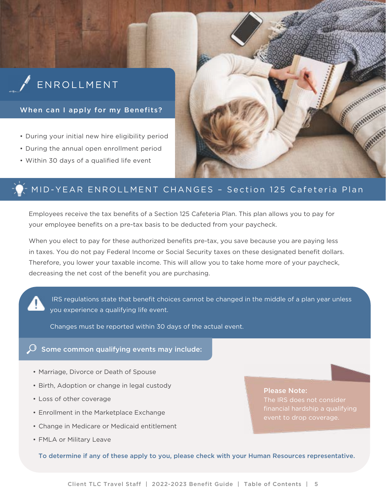### <span id="page-4-0"></span>ENROLLMENT

#### When can I apply for my Benefits?

- During your initial new hire eligibility period
- During the annual open enrollment period
- Within 30 days of a qualified life event



### MID-YEAR ENROLLMENT CHANGES – Section 125 Cafeteria Plan

Employees receive the tax benefits of a Section 125 Cafeteria Plan. This plan allows you to pay for your employee benefits on a pre-tax basis to be deducted from your paycheck.

When you elect to pay for these authorized benefits pre-tax, you save because you are paying less in taxes. You do not pay Federal Income or Social Security taxes on these designated benefit dollars. Therefore, you lower your taxable income. This will allow you to take home more of your paycheck, decreasing the net cost of the benefit you are purchasing.

IRS regulations state that benefit choices cannot be changed in the middle of a plan year unless you experience a qualifying life event.

Changes must be reported within 30 days of the actual event.

#### $\overline{O}$  Some common qualifying events may include:

- Marriage, Divorce or Death of Spouse
- Birth, Adoption or change in legal custody
- Loss of other coverage
- Enrollment in the Marketplace Exchange
- Change in Medicare or Medicaid entitlement
- FMLA or Military Leave

#### Please Note:

The IRS does not consider event to drop coverage.

To determine if any of these apply to you, please check with your Human Resources representative.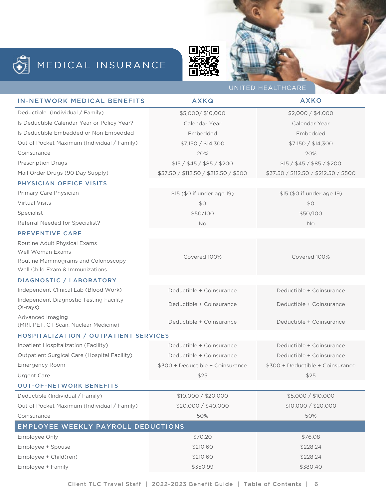<span id="page-5-0"></span>

# MEDICAL INSURANCE



UNITED HEALTHCARE

| <b>AXKQ</b>                                  | <b>AXKO</b>                           |  |
|----------------------------------------------|---------------------------------------|--|
| \$5,000/\$10,000                             | \$2,000 / \$4,000                     |  |
| Calendar Year                                | Calendar Year                         |  |
| Embedded                                     | Embedded                              |  |
| \$7,150 / \$14,300                           | \$7,150 / \$14,300                    |  |
| 20%                                          | 20%                                   |  |
| \$15 / \$45 / \$85 / \$200                   | \$15 / \$45 / \$85 / \$200            |  |
| \$37.50 / \$112.50 / \$212.50 / \$500        | \$37.50 / \$112.50 / \$212.50 / \$500 |  |
|                                              |                                       |  |
| \$15 (\$0 if under age 19)                   | \$15 (\$0 if under age 19)            |  |
| \$0                                          | \$0                                   |  |
| \$50/100                                     | \$50/100                              |  |
| <b>No</b>                                    | <b>No</b>                             |  |
|                                              |                                       |  |
|                                              |                                       |  |
|                                              | Covered 100%                          |  |
|                                              |                                       |  |
|                                              |                                       |  |
|                                              |                                       |  |
| Deductible + Coinsurance                     | Deductible + Coinsurance              |  |
| Deductible + Coinsurance                     | Deductible + Coinsurance              |  |
| Deductible + Coinsurance                     | Deductible + Coinsurance              |  |
| <b>HOSPITALIZATION / OUTPATIENT SERVICES</b> |                                       |  |
| Deductible + Coinsurance                     | Deductible + Coinsurance              |  |
| Deductible + Coinsurance                     | Deductible + Coinsurance              |  |
| \$300 + Deductible + Coinsurance             | \$300 + Deductible + Coinsurance      |  |
| \$25                                         | \$25                                  |  |
|                                              |                                       |  |
| \$10,000 / \$20,000                          | \$5,000 / \$10,000                    |  |
| \$20,000 / \$40,000                          | \$10,000 / \$20,000                   |  |
| 50%                                          | 50%                                   |  |
| EMPLOYEE WEEKLY PAYROLL DEDUCTIONS           |                                       |  |
| \$70.20                                      | \$76.08                               |  |
| \$210.60                                     | \$228.24                              |  |
| \$210.60                                     | \$228.24                              |  |
|                                              |                                       |  |
|                                              | Covered 100%                          |  |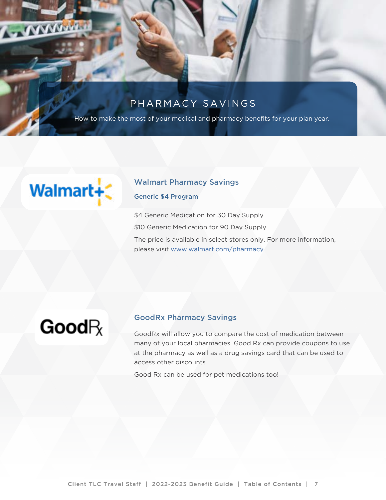### PHARMACY SAVINGS

How to make the most of your medical and pharmacy benefits for your plan year.



<span id="page-6-0"></span>**MWWW** 

#### Walmart Pharmacy Savings

#### Generic \$4 Program

\$4 Generic Medication for 30 Day Supply \$10 Generic Medication for 90 Day Supply The price is available in select stores only. For more information, please visit [www.walmart.com/pharmacy](http://www.walmart.com/pharmacy)

# $\mathsf{GoodR}_x$

#### GoodRx Pharmacy Savings

GoodRx will allow you to compare the cost of medication between many of your local pharmacies. Good Rx can provide coupons to use at the pharmacy as well as a drug savings card that can be used to access other discounts

Good Rx can be used for pet medications too!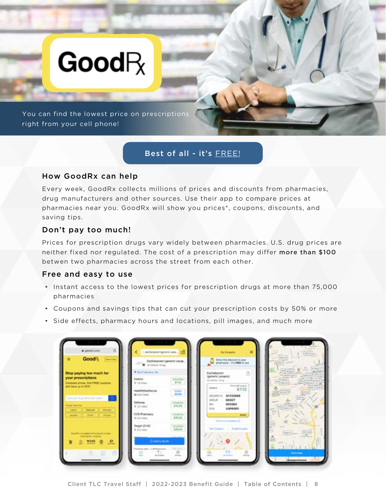# <span id="page-7-0"></span> $\mathsf{GoodR}_x$

You can find the lowest price on prescriptions right from your cell phone!

#### Best of all - it's FREE!

#### How GoodRx can help

Every week, GoodRx collects millions of prices and discounts from pharmacies, drug manufacturers and other sources. Use their app to compare prices at pharmacies near you. GoodRx will show you prices\*, coupons, discounts, and saving tips.

#### Don't pay too much!

Prices for prescription drugs vary widely between pharmacies. U.S. drug prices are neither fixed nor regulated. The cost of a prescription may differ more than \$100 betwen two pharmacies across the street from each other.

#### Free and easy to use

- Instant access to the lowest prices for prescription drugs at more than 75,000 pharmacies
- Coupons and savings tips that can cut your prescription costs by 50% or more
- Side effects, pharmacy hours and locations, pill images, and much more

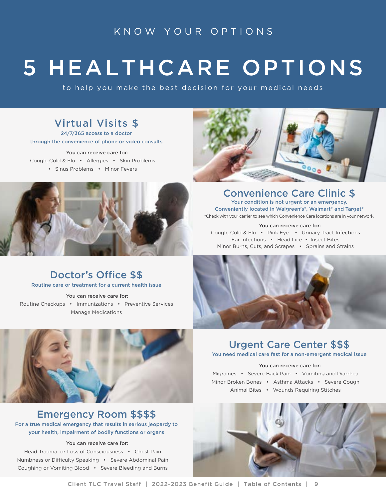### KNOW YOUR OPTIONS

# <span id="page-8-0"></span>5 HEALTHCARE OPTIONS

to help you make the best decision for your medical needs

### Virtual Visits \$

24/7/365 access to a doctor through the convenience of phone or video consults

You can receive care for:

Cough, Cold & Flu • Allergies • Skin Problems

• Sinus Problems • Minor Fevers



### Doctor's Office \$\$

Routine care or treatment for a current health issue

#### You can receive care for:

Routine Checkups • Immunizations • Preventive Services Manage Medications



### Emergency Room \$\$\$\$

For a true medical emergency that results in serious jeopardy to your health, impairment of bodily functions or organs

#### You can receive care for:

Head Trauma or Loss of Consciousness • Chest Pain Numbness or Difficulty Speaking • Severe Abdominal Pain Coughing or Vomiting Blood • Severe Bleeding and Burns



Convenience Care Clinic \$ Your condition is not urgent or an emergency.

Conveniently located in Walgreen's\*, Walmart\* and Target\* \*Check with your carrier to see which Convenience Care locations are in your network.

#### You can receive care for:

Cough, Cold & Flu • Pink Eye • Urinary Tract Infections Ear Infections • Head Lice • Insect Bites Minor Burns, Cuts, and Scrapes • Sprains and Strains



### Urgent Care Center \$\$\$

#### You need medical care fast for a non-emergent medical issue

#### You can receive care for:

|  | Migraines • Severe Back Pain • Vomiting and Diarrhea |
|--|------------------------------------------------------|
|  | Minor Broken Bones • Asthma Attacks • Severe Cough   |
|  | Animal Bites • Wounds Requiring Stitches             |

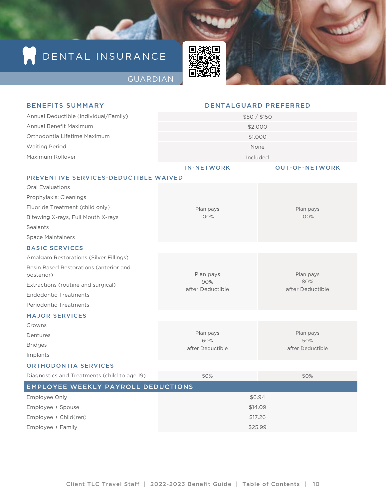# <span id="page-9-0"></span>DENTAL INSURANCE

 $\sim$ 





### GUARDIAN

| <b>BENEFITS SUMMARY</b>                              | <b>DENTALGUARD PREFERRED</b> |                         |
|------------------------------------------------------|------------------------------|-------------------------|
| Annual Deductible (Individual/Family)                | \$50/\$150                   |                         |
| <b>Annual Benefit Maximum</b>                        | \$2,000                      |                         |
| Orthodontia Lifetime Maximum                         | \$1,000                      |                         |
| <b>Waiting Period</b>                                | None                         |                         |
| Maximum Rollover                                     | Included                     |                         |
|                                                      | <b>IN-NETWORK</b>            | <b>OUT-OF-NETWORK</b>   |
| <b>PREVENTIVE SERVICES-DEDUCTIBLE WAIVED</b>         |                              |                         |
| <b>Oral Evaluations</b>                              |                              |                         |
| Prophylaxis: Cleanings                               |                              |                         |
| Fluoride Treatment (child only)                      | Plan pays                    | Plan pays               |
| Bitewing X-rays, Full Mouth X-rays                   | 100%                         | 100%                    |
| Sealants                                             |                              |                         |
| <b>Space Maintainers</b>                             |                              |                         |
| <b>BASIC SERVICES</b>                                |                              |                         |
| Amalgam Restorations (Silver Fillings)               |                              |                         |
| Resin Based Restorations (anterior and<br>posterior) | Plan pays                    | Plan pays               |
| Extractions (routine and surgical)                   | 90%<br>after Deductible      | 80%<br>after Deductible |
| <b>Endodontic Treatments</b>                         |                              |                         |
| Periodontic Treatments                               |                              |                         |
| <b>MAJOR SERVICES</b>                                |                              |                         |
| Crowns                                               |                              |                         |
| Dentures                                             | Plan pays                    | Plan pays               |
| <b>Bridges</b>                                       | 60%<br>after Deductible      | 50%<br>after Deductible |
| Implants                                             |                              |                         |
| <b>ORTHODONTIA SERVICES</b>                          |                              |                         |
| Diagnostics and Treatments (child to age 19)         | 50%                          | 50%                     |
| EMPLOYEE WEEKLY PAYROLL DEDUCTIONS                   |                              |                         |
| Employee Only                                        | \$6.94                       |                         |
| Employee + Spouse                                    | \$14.09                      |                         |
| Employee + Child(ren)                                | \$17.26                      |                         |
| Employee + Family                                    | \$25.99                      |                         |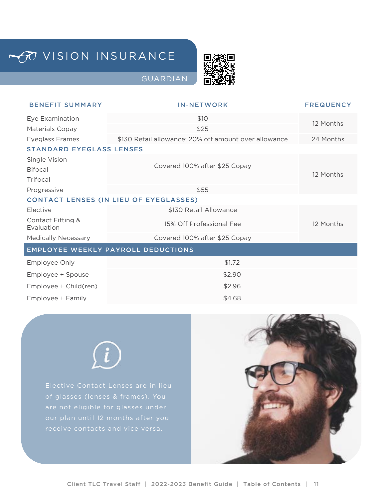### <span id="page-10-0"></span>VISION INSURANCE



GUARDIAN

| <b>BENEFIT SUMMARY</b>                    | <b>IN-NETWORK</b>                                     | <b>FREQUENCY</b> |  |
|-------------------------------------------|-------------------------------------------------------|------------------|--|
| Eye Examination                           | \$10                                                  |                  |  |
| Materials Copay                           | \$25                                                  | 12 Months        |  |
| <b>Eyeglass Frames</b>                    | \$130 Retail allowance; 20% off amount over allowance | 24 Months        |  |
| <b>STANDARD EYEGLASS LENSES</b>           |                                                       |                  |  |
| Single Vision                             |                                                       |                  |  |
| <b>Bifocal</b>                            | Covered 100% after \$25 Copay                         | 12 Months        |  |
| Trifocal                                  |                                                       |                  |  |
| Progressive                               | \$55                                                  |                  |  |
|                                           | CONTACT LENSES (IN LIEU OF EYEGLASSES)                |                  |  |
| Elective                                  | \$130 Retail Allowance                                |                  |  |
| Contact Fitting &<br><b>Evaluation</b>    | 15% Off Professional Fee                              | 12 Months        |  |
| <b>Medically Necessary</b>                | Covered 100% after \$25 Copay                         |                  |  |
| <b>EMPLOYEE WEEKLY PAYROLL DEDUCTIONS</b> |                                                       |                  |  |
| Employee Only                             | \$1.72                                                |                  |  |
| Employee + Spouse                         | \$2.90                                                |                  |  |
| Employee + Child(ren)                     | \$2.96                                                |                  |  |
| Employee + Family                         | \$4.68                                                |                  |  |



of glasses (lenses & frames). You are not eligible for glasses under

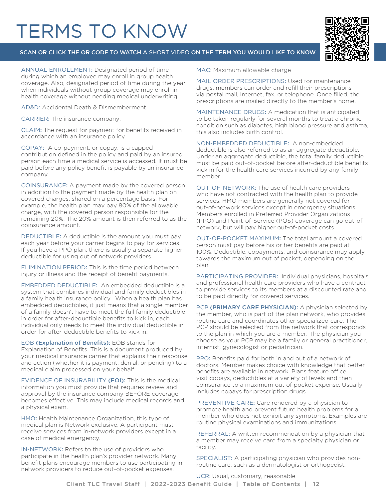# <span id="page-11-0"></span>TERMS TO KNOW

#### SCAN OR CLICK THE QR CODE TO WATCH A [SHORT VIDEO](http://www.benefitfocusmedia.com/content/insurance-office-america/customer-video-library) ON THE TERM YOU WOULD LIKE TO KNOW



ANNUAL ENROLLMENT: Designated period of time during which an employee may enroll in group health coverage. Also, designated period of time during the year when individuals without group coverage may enroll in health coverage without needing medical underwriting.

AD&D: Accidental Death & Dismemberment

CARRIER: The insurance company.

CLAIM: The request for payment for benefits received in accordance with an insurance policy.

COPAY: A co-payment, or copay, is a capped contribution defined in the policy and paid by an insured person each time a medical service is accessed. It must be paid before any policy benefit is payable by an insurance company.

COINSURANCE: A payment made by the covered person in addition to the payment made by the health plan on covered charges, shared on a percentage basis. For example, the health plan may pay 80% of the allowable charge, with the covered person responsible for the remaining 20%. The 20% amount is then referred to as the coinsurance amount.

DEDUCTIBLE: A deductible is the amount you must pay each year before your carrier begins to pay for services. If you have a PPO plan, there is usually a separate higher deductible for using out of network providers.

ELIMINATION PERIOD: This is the time period between injury or illness and the receipt of benefit payments.

EMBEDDED DEDUCTIBLE: An embedded deductible is a system that combines individual and family deductibles in a family health insurance policy. When a health plan has embedded deductibles, it just means that a single member of a family doesn't have to meet the full family deductible in order for after-deductible benefits to kick in, each individual only needs to meet the individual deductible in order for after-deductible benefits to kick in.

EOB (Explanation of Benefits): EOB stands for Explanation of Benefits. This is a document produced by your medical insurance carrier that explains their response and action (whether it is payment, denial, or pending) to a medical claim processed on your behalf.

EVIDENCE OF INSURABILITY (EOI): This is the medical information you must provide that requires review and approval by the insurance company BEFORE coverage becomes effective. This may include medical records and a physical exam.

HMO: Health Maintenance Organization, this type of medical plan is Network exclusive. A participant must receive services from in-network providers except in a case of medical emergency.

IN-NETWORK: Refers to the use of providers who participate in the health plan's provider network. Many benefit plans encourage members to use participating innetwork providers to reduce out-of-pocket expenses.

MAC: Maximum allowable charge

MAIL ORDER PRESCRIPTIONS: Used for maintenance drugs, members can order and refill their prescriptions via postal mail, Internet, fax, or telephone. Once filled, the prescriptions are mailed directly to the member's home.

MAINTENANCE DRUGS: A medication that is anticipated to be taken regularly for several months to treat a chronic condition such as diabetes, high blood pressure and asthma, this also includes birth control.

NON-EMBEDDED DEDUCTIBLE: A non-embedded deductible is also referred to as an aggregate deductible. Under an aggregate deductible, the total family deductible must be paid out-of-pocket before after-deductible benefits kick in for the health care services incurred by any family member.

OUT-OF-NETWORK: The use of health care providers who have not contracted with the health plan to provide services. HMO members are generally not covered for out-of-network services except in emergency situations. Members enrolled in Preferred Provider Organizations (PPO) and Point-of-Service (POS) coverage can go out-ofnetwork, but will pay higher out-of-pocket costs.

OUT-OF-POCKET MAXIMUM: The total amount a covered person must pay before his or her benefits are paid at 100%. Deductible, copayments, and coinsurance may apply towards the maximum out of pocket, depending on the plan.

PARTICIPATING PROVIDER: Individual physicians, hospitals and professional health care providers who have a contract to provide services to its members at a discounted rate and to be paid directly for covered services.

PCP (PRIMARY CARE PHYSICIAN): A physician selected by the member, who is part of the plan network, who provides routine care and coordinates other specialized care. The PCP should be selected from the network that corresponds to the plan in which you are a member. The physician you choose as your PCP may be a family or general practitioner, internist, gynecologist or pediatrician.

PPO: Benefits paid for both in and out of a network of doctors. Member makes choice with knowledge that better benefits are available in network. Plans feature office visit copays, deductibles at a variety of levels and then coinsurance to a maximum out of pocket expense. Usually includes copays for prescription drugs.

PREVENTIVE CARE: Care rendered by a physician to promote health and prevent future health problems for a member who does not exhibit any symptoms. Examples are routine physical examinations and immunizations.

REFERRAL: A written recommendation by a physician that a member may receive care from a specialty physician or facility.

SPECIALIST: A participating physician who provides nonroutine care, such as a dermatologist or orthopedist.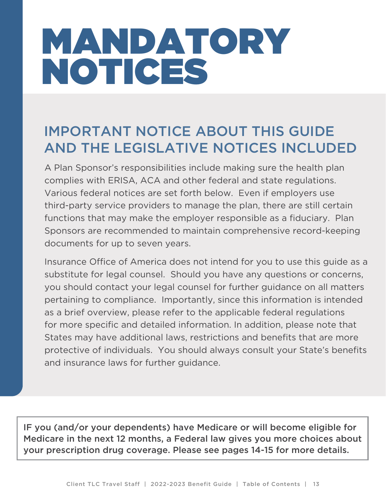# <span id="page-12-0"></span>MANDATORY NOTICES

## IMPORTANT NOTICE ABOUT THIS GUIDE AND THE LEGISLATIVE NOTICES INCLUDED

A Plan Sponsor's responsibilities include making sure the health plan complies with ERISA, ACA and other federal and state regulations. Various federal notices are set forth below. Even if employers use third-party service providers to manage the plan, there are still certain functions that may make the employer responsible as a fiduciary. Plan Sponsors are recommended to maintain comprehensive record-keeping documents for up to seven years.

Insurance Office of America does not intend for you to use this guide as a substitute for legal counsel. Should you have any questions or concerns, you should contact your legal counsel for further guidance on all matters pertaining to compliance. Importantly, since this information is intended as a brief overview, please refer to the applicable federal regulations for more specific and detailed information. In addition, please note that States may have additional laws, restrictions and benefits that are more protective of individuals. You should always consult your State's benefits and insurance laws for further guidance.

IF you (and/or your dependents) have Medicare or will become eligible for Medicare in the next 12 months, a Federal law gives you more choices about your prescription drug coverage. Please see pages 14-15 for more details.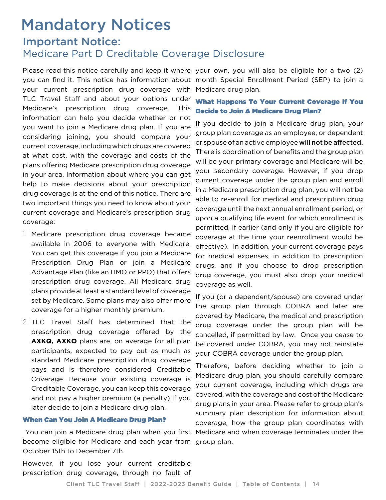### <span id="page-13-0"></span>Important Notice: Medicare Part D Creditable Coverage Disclosure

your current prescription drug coverage with Medicare drug plan. TLC Travel Staff and about your options under Medicare's prescription drug coverage. This information can help you decide whether or not you want to join a Medicare drug plan. If you are considering joining, you should compare your current coverage, including which drugs are covered at what cost, with the coverage and costs of the plans offering Medicare prescription drug coverage in your area. Information about where you can get help to make decisions about your prescription drug coverage is at the end of this notice. There are two important things you need to know about your current coverage and Medicare's prescription drug coverage:

- 1. Medicare prescription drug coverage became available in 2006 to everyone with Medicare. You can get this coverage if you join a Medicare Prescription Drug Plan or join a Medicare Advantage Plan (like an HMO or PPO) that offers prescription drug coverage. All Medicare drug plans provide at least a standard level of coverage set by Medicare. Some plans may also offer more coverage for a higher monthly premium.
- 2. TLC Travel Staff has determined that the prescription drug coverage offered by the **AXKQ, AXKO** plans are, on average for all plan participants, expected to pay out as much as standard Medicare prescription drug coverage pays and is therefore considered Creditable Coverage. Because your existing coverage is Creditable Coverage, you can keep this coverage and not pay a higher premium (a penalty) if you later decide to join a Medicare drug plan.

#### When Can You Join A Medicare Drug Plan?

become eligible for Medicare and each year from group plan. October 15th to December 7th.

However, if you lose your current creditable prescription drug coverage, through no fault of

Please read this notice carefully and keep it where your own, you will also be eligible for a two (2) you can find it. This notice has information about month Special Enrollment Period (SEP) to join a

#### What Happens To Your Current Coverage If You Decide to Join A Medicare Drug Plan?

If you decide to join a Medicare drug plan, your group plan coverage as an employee, or dependent or spouse of an active employee will not be affected. There is coordination of benefits and the group plan will be your primary coverage and Medicare will be your secondary coverage. However, if you drop current coverage under the group plan and enroll in a Medicare prescription drug plan, you will not be able to re-enroll for medical and prescription drug coverage until the next annual enrollment period, or upon a qualifying life event for which enrollment is permitted, if earlier (and only if you are eligible for coverage at the time your reenrollment would be effective). In addition, your current coverage pays for medical expenses, in addition to prescription drugs, and if you choose to drop prescription drug coverage, you must also drop your medical coverage as well.

If you (or a dependent/spouse) are covered under the group plan through COBRA and later are covered by Medicare, the medical and prescription drug coverage under the group plan will be cancelled, if permitted by law. Once you cease to be covered under COBRA, you may not reinstate your COBRA coverage under the group plan.

 You can join a Medicare drug plan when you first Medicare and when coverage terminates under the Therefore, before deciding whether to join a Medicare drug plan, you should carefully compare your current coverage, including which drugs are covered, with the coverage and cost of the Medicare drug plans in your area. Please refer to group plan's summary plan description for information about coverage, how the group plan coordinates with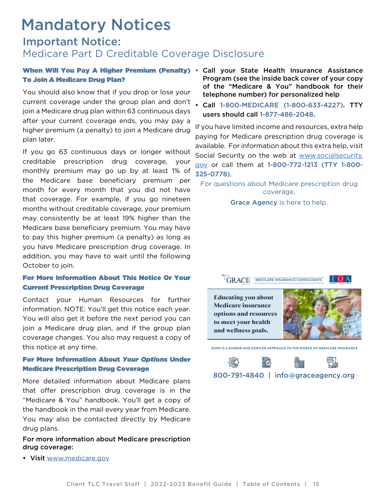### Important Notice: Medicare Part D Creditable Coverage Disclosure

#### When Will You Pay A Higher Premium (Penalty) • Call your State Health Insurance Assistance To Join A Medicare Drug Plan?

You should also know that if you drop or lose your current coverage under the group plan and don't join a Medicare drug plan within 63 continuous days after your current coverage ends, you may pay a higher premium (a penalty) to join a Medicare drug plan later.

If you go 63 continuous days or longer without creditable prescription drug coverage, your monthly premium may go up by at least 1% of the Medicare base beneficiary premium per month for every month that you did not have that coverage. For example, if you go nineteen months without creditable coverage, your premium may consistently be at least 19% higher than the Medicare base beneficiary premium. You may have to pay this higher premium (a penalty) as long as you have Medicare prescription drug coverage. In addition, you may have to wait until the following October to join.

#### For More Information About This Notice Or Your Current Prescription Drug Coverage

Contact your Human Resources for further information. NOTE: You'll get this notice each year. You will also get it before the next period you can join a Medicare drug plan, and if the group plan coverage changes. You also may request a copy of this notice at any time.

#### For More Information About *Your Options* Under Medicare Prescription Drug Coverage

More detailed information about Medicare plans that offer prescription drug coverage is in the "Medicare & You" handbook. You'll get a copy of the handbook in the mail every year from Medicare. You may also be contacted directly by Medicare drug plans.

#### For more information about Medicare prescription drug coverage:

• Visit [www.medicare.gov](http://www.medicare.gov)

- Program (see the inside back cover of your copy of the "Medicare & You" handbook for their telephone number) for personalized help
- Call 1-800-MEDICARE (1-800-633-4227). TTY users should call 1-877-486-2048.

If you have limited income and resources, extra help paying for Medicare prescription drug coverage is available. For information about this extra help, visit Social Security on the web at [www.socialsecurity.](http://www.socialsecurity.gov) [gov](http://www.socialsecurity.gov) or call them at 1-800-772-1213 (TTY 1-800- 325-0778).

For questions about Medicare prescription drug coverage,

Grace Agency is here to help.

#### *CRACE* MEDICARE INSURANCE CONSULTANTS



Educating you about Medicare insurance options and resources to meet your health and wellness goals.

OURS IS A KINDER AND GENTLER APPROACH TO THE WORLD OF MEDICARE INSURANCE



0-791 **b**  $\bullet$  **i**  $\stackrel{\frown}{\phantom{}_{\sim}}$ grad **We complete your enrollment process.** 800-791-4840 | info@graceagency.org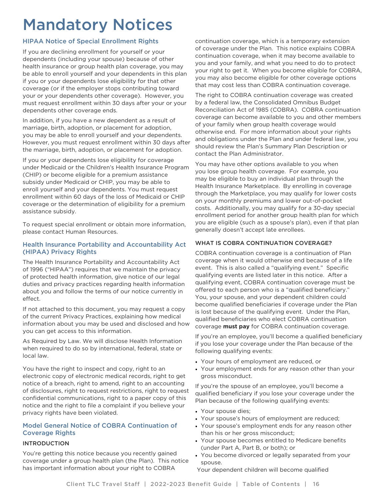#### HIPAA Notice of Special Enrollment Rights

If you are declining enrollment for yourself or your dependents (including your spouse) because of other health insurance or group health plan coverage, you may be able to enroll yourself and your dependents in this plan if you or your dependents lose eligibility for that other coverage (or if the employer stops contributing toward your or your dependents other coverage). However, you must request enrollment within 30 days after your or your dependents other coverage ends.

In addition, if you have a new dependent as a result of marriage, birth, adoption, or placement for adoption, you may be able to enroll yourself and your dependents. However, you must request enrollment within 30 days after the marriage, birth, adoption, or placement for adoption.

If you or your dependents lose eligibility for coverage under Medicaid or the Children's Health Insurance Program (CHIP) or become eligible for a premium assistance subsidy under Medicaid or CHIP, you may be able to enroll yourself and your dependents. You must request enrollment within 60 days of the loss of Medicaid or CHIP coverage or the determination of eligibility for a premium assistance subsidy.

To request special enrollment or obtain more information, please contact Human Resources.

#### Health Insurance Portability and Accountability Act (HIPAA) Privacy Rights

The Health Insurance Portability and Accountability Act of 1996 ("HIPAA") requires that we maintain the privacy of protected health information, give notice of our legal duties and privacy practices regarding health information about you and follow the terms of our notice currently in effect.

If not attached to this document, you may request a copy of the current Privacy Practices, explaining how medical information about you may be used and disclosed and how you can get access to this information.

As Required by Law. We will disclose Health Information when required to do so by international, federal, state or local law.

You have the right to inspect and copy, right to an electronic copy of electronic medical records, right to get notice of a breach, right to amend, right to an accounting of disclosures, right to request restrictions, right to request confidential communications, right to a paper copy of this notice and the right to file a complaint if you believe your privacy rights have been violated.

#### Model General Notice of COBRA Continuation of Coverage Rights

#### INTRODUCTION

You're getting this notice because you recently gained coverage under a group health plan (the Plan). This notice has important information about your right to COBRA

continuation coverage, which is a temporary extension of coverage under the Plan. This notice explains COBRA continuation coverage, when it may become available to you and your family, and what you need to do to protect your right to get it. When you become eligible for COBRA, you may also become eligible for other coverage options that may cost less than COBRA continuation coverage.

The right to COBRA continuation coverage was created by a federal law, the Consolidated Omnibus Budget Reconciliation Act of 1985 (COBRA). COBRA continuation coverage can become available to you and other members of your family when group health coverage would otherwise end. For more information about your rights and obligations under the Plan and under federal law, you should review the Plan's Summary Plan Description or contact the Plan Administrator.

You may have other options available to you when you lose group health coverage. For example, you may be eligible to buy an individual plan through the Health Insurance Marketplace. By enrolling in coverage through the Marketplace, you may qualify for lower costs on your monthly premiums and lower out-of-pocket costs. Additionally, you may qualify for a 30-day special enrollment period for another group health plan for which you are eligible (such as a spouse's plan), even if that plan generally doesn't accept late enrollees.

#### WHAT IS COBRA CONTINUATION COVERAGE?

COBRA continuation coverage is a continuation of Plan coverage when it would otherwise end because of a life event. This is also called a "qualifying event." Specific qualifying events are listed later in this notice. After a qualifying event, COBRA continuation coverage must be offered to each person who is a "qualified beneficiary." You, your spouse, and your dependent children could become qualified beneficiaries if coverage under the Plan is lost because of the qualifying event. Under the Plan, qualified beneficiaries who elect COBRA continuation coverage **must pay** for COBRA continuation coverage.

If you're an employee, you'll become a qualified beneficiary if you lose your coverage under the Plan because of the following qualifying events:

- Your hours of employment are reduced, or
- Your employment ends for any reason other than your gross misconduct.

If you're the spouse of an employee, you'll become a qualified beneficiary if you lose your coverage under the Plan because of the following qualifying events:

- Your spouse dies;
- Your spouse's hours of employment are reduced;
- Your spouse's employment ends for any reason other than his or her gross misconduct;
- Your spouse becomes entitled to Medicare benefits (under Part A, Part B, or both); or
- You become divorced or legally separated from your spouse.

Your dependent children will become qualified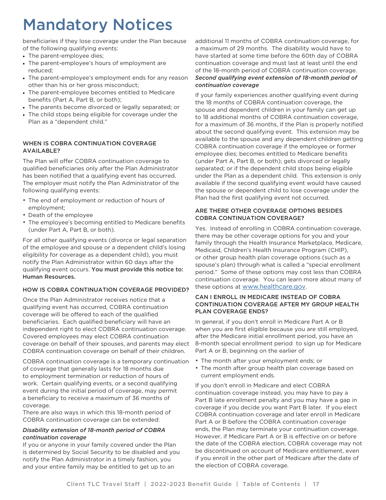beneficiaries if they lose coverage under the Plan because of the following qualifying events:

- The parent-employee dies;
- The parent-employee's hours of employment are reduced;
- The parent-employee's employment ends for any reason other than his or her gross misconduct;
- The parent-employee becomes entitled to Medicare benefits (Part A, Part B, or both);
- The parents become divorced or legally separated; or
- The child stops being eligible for coverage under the Plan as a "dependent child."

#### WHEN IS COBRA CONTINUATION COVERAGE AVAILABLE?

The Plan will offer COBRA continuation coverage to qualified beneficiaries only after the Plan Administrator has been notified that a qualifying event has occurred. The employer must notify the Plan Administrator of the following qualifying events:

- The end of employment or reduction of hours of employment;
- Death of the employee
- The employee's becoming entitled to Medicare benefits (under Part A, Part B, or both).

For all other qualifying events (divorce or legal separation of the employee and spouse or a dependent child's losing eligibility for coverage as a dependent child), you must notify the Plan Administrator within 60 days after the qualifying event occurs. You must provide this notice to: Human Resources.

#### HOW IS COBRA CONTINUATION COVERAGE PROVIDED?

Once the Plan Administrator receives notice that a qualifying event has occurred, COBRA continuation coverage will be offered to each of the qualified beneficiaries. Each qualified beneficiary will have an independent right to elect COBRA continuation coverage. Covered employees may elect COBRA continuation coverage on behalf of their spouses, and parents may elect COBRA continuation coverage on behalf of their children.

COBRA continuation coverage is a temporary continuation of coverage that generally lasts for 18 months due to employment termination or reduction of hours of work. Certain qualifying events, or a second qualifying event during the initial period of coverage, may permit a beneficiary to receive a maximum of 36 months of coverage.

There are also ways in which this 18-month period of COBRA continuation coverage can be extended:

#### *Disability extension of 18-month period of COBRA continuation coverage*

If you or anyone in your family covered under the Plan is determined by Social Security to be disabled and you notify the Plan Administrator in a timely fashion, you and your entire family may be entitled to get up to an

additional 11 months of COBRA continuation coverage, for a maximum of 29 months. The disability would have to have started at some time before the 60th day of COBRA continuation coverage and must last at least until the end of the 18-month period of COBRA continuation coverage. *Second qualifying event extension of 18-month period of continuation coverage*

If your family experiences another qualifying event during the 18 months of COBRA continuation coverage, the spouse and dependent children in your family can get up to 18 additional months of COBRA continuation coverage, for a maximum of 36 months, if the Plan is properly notified about the second qualifying event. This extension may be available to the spouse and any dependent children getting COBRA continuation coverage if the employee or former employee dies; becomes entitled to Medicare benefits (under Part A, Part B, or both); gets divorced or legally separated; or if the dependent child stops being eligible under the Plan as a dependent child. This extension is only available if the second qualifying event would have caused the spouse or dependent child to lose coverage under the Plan had the first qualifying event not occurred.

#### ARE THERE OTHER COVERAGE OPTIONS BESIDES COBRA CONTINUATION COVERAGE?

Yes. Instead of enrolling in COBRA continuation coverage, there may be other coverage options for you and your family through the Health Insurance Marketplace, Medicare, Medicaid, Children's Health Insurance Program (CHIP), or other group health plan coverage options (such as a spouse's plan) through what is called a "special enrollment period." Some of these options may cost less than COBRA continuation coverage. You can learn more about many of these options at [www.healthcare.gov.](http://www.healthcare.gov)

#### CAN I ENROLL IN MEDICARE INSTEAD OF COBRA CONTINUATION COVERAGE AFTER MY GROUP HEALTH PLAN COVERAGE ENDS?

In general, if you don't enroll in Medicare Part A or B when you are first eligible because you are still employed, after the Medicare initial enrollment period, you have an 8-month special enrollment period to sign up for Medicare Part A or B, beginning on the earlier of

- The month after your employment ends; or
- The month after group health plan coverage based on current employment ends.

If you don't enroll in Medicare and elect COBRA continuation coverage instead, you may have to pay a Part B late enrollment penalty and you may have a gap in coverage if you decide you want Part B later. If you elect COBRA continuation coverage and later enroll in Medicare Part A or B before the COBRA continuation coverage ends, the Plan may terminate your continuation coverage. However, if Medicare Part A or B is effective on or before the date of the COBRA election, COBRA coverage may not be discontinued on account of Medicare entitlement, even if you enroll in the other part of Medicare after the date of the election of COBRA coverage.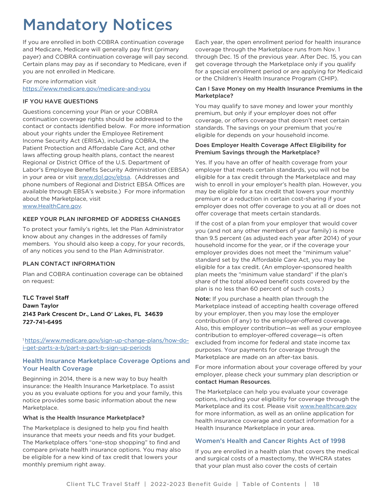If you are enrolled in both COBRA continuation coverage and Medicare, Medicare will generally pay first (primary payer) and COBRA continuation coverage will pay second. Certain plans may pay as if secondary to Medicare, even if you are not enrolled in Medicare.

For more information visit <https://www.medicare.gov/medicare-and-you>

#### IF YOU HAVE QUESTIONS

Questions concerning your Plan or your COBRA continuation coverage rights should be addressed to the contact or contacts identified below. For more information about your rights under the Employee Retirement Income Security Act (ERISA), including COBRA, the Patient Protection and Affordable Care Act, and other laws affecting group health plans, contact the nearest Regional or District Office of the U.S. Department of Labor's Employee Benefits Security Administration (EBSA) in your area or visit [www.dol.gov/ebsa.](http://www.dol.gov/ebsa) (Addresses and phone numbers of Regional and District EBSA Offices are available through EBSA's website.) For more information about the Marketplace, visit

[www.HealthCare.gov](http://www.HealthCare.gov).

#### KEEP YOUR PLAN INFORMED OF ADDRESS CHANGES

To protect your family's rights, let the Plan Administrator know about any changes in the addresses of family members. You should also keep a copy, for your records, of any notices you send to the Plan Administrator.

#### PLAN CONTACT INFORMATION

Plan and COBRA continuation coverage can be obtained on request:

TLC Travel Staff Dawn Taylor 2143 Park Crescent Dr., Land O' Lakes, FL 34639 727-741-6495

1 [https://www.medicare.gov/sign-up-change-plans/how-do](https://www.medicare.gov/sign-up-change-plans/how-do-i-get-parts-a-b/part-a-part-b-sign-up-periods. )[i-get-parts-a-b/part-a-part-b-sign-up-periods](https://www.medicare.gov/sign-up-change-plans/how-do-i-get-parts-a-b/part-a-part-b-sign-up-periods. )

#### Health Insurance Marketplace Coverage Options and Your Health Coverage

Beginning in 2014, there is a new way to buy health insurance: the Health Insurance Marketplace. To assist you as you evaluate options for you and your family, this notice provides some basic information about the new Marketplace.

#### What is the Health Insurance Marketplace?

The Marketplace is designed to help you find health insurance that meets your needs and fits your budget. The Marketplace offers "one-stop shopping" to find and compare private health insurance options. You may also be eligible for a new kind of tax credit that lowers your monthly premium right away.

Each year, the open enrollment period for health insurance coverage through the Marketplace runs from Nov. 1 through Dec. 15 of the previous year. After Dec. 15, you can get coverage through the Marketplace only if you qualify for a special enrollment period or are applying for Medicaid or the Children's Health Insurance Program (CHIP).

#### Can I Save Money on my Health Insurance Premiums in the Marketplace?

You may qualify to save money and lower your monthly premium, but only if your employer does not offer coverage, or offers coverage that doesn't meet certain standards. The savings on your premium that you're eligible for depends on your household income.

#### Does Employer Health Coverage Affect Eligibility for Premium Savings through the Marketplace?

Yes. If you have an offer of health coverage from your employer that meets certain standards, you will not be eligible for a tax credit through the Marketplace and may wish to enroll in your employer's health plan. However, you may be eligible for a tax credit that lowers your monthly premium or a reduction in certain cost-sharing if your employer does not offer coverage to you at all or does not offer coverage that meets certain standards.

If the cost of a plan from your employer that would cover you (and not any other members of your family) is more than 9.5 percent (as adjusted each year after 2014) of your household income for the year, or if the coverage your employer provides does not meet the "minimum value" standard set by the Affordable Care Act, you may be eligible for a tax credit. (An employer-sponsored health plan meets the "minimum value standard" if the plan's share of the total allowed benefit costs covered by the plan is no less than 60 percent of such costs.)

Note: If you purchase a health plan through the Marketplace instead of accepting health coverage offered by your employer, then you may lose the employer contribution (if any) to the employer-offered coverage. Also, this employer contribution—as well as your employee contribution to employer-offered coverage—is often excluded from income for federal and state income tax purposes. Your payments for coverage through the Marketplace are made on an after-tax basis.

For more information about your coverage offered by your employer, please check your summary plan description or contact Human Resources.

The Marketplace can help you evaluate your coverage options, including your eligibility for coverage through the Marketplace and its cost. Please visit [www.healthcare.gov](http://www.healthcare.gov) for more information, as well as an online application for health insurance coverage and contact information for a Health Insurance Marketplace in your area.

#### Women's Health and Cancer Rights Act of 1998

If you are enrolled in a health plan that covers the medical and surgical costs of a mastectomy, the WHCRA states that your plan must also cover the costs of certain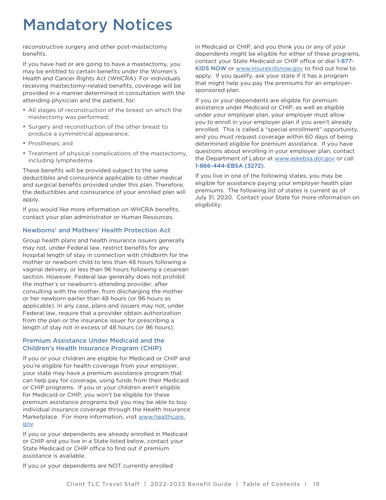reconstructive surgery and other post-mastectomy benefits.

If you have had or are going to have a mastectomy, you may be entitled to certain benefits under the Women's Health and Cancer Rights Act (WHCRA). For individuals receiving mastectomy-related benefits, coverage will be provided in a manner determined in consultation with the attending physician and the patient, for:

- All stages of reconstruction of the breast on which the mastectomy was performed;
- Surgery and reconstruction of the other breast to produce a symmetrical appearance;
- Prostheses; and
- Treatment of physical complications of the mastectomy, including lymphedema.

These benefits will be provided subject to the same deductibles and coinsurance applicable to other medical and surgical benefits provided under this plan. Therefore, the deductibles and coinsurance of your enrolled plan will apply.

If you would like more information on WHCRA benefits, contact your plan administrator or Human Resources.

#### Newborns' and Mothers' Health Protection Act

Group health plans and health insurance issuers generally may not, under Federal law, restrict benefits for any hospital length of stay in connection with childbirth for the mother or newborn child to less than 48 hours following a vaginal delivery, or less than 96 hours following a cesarean section. However, Federal law generally does not prohibit the mother's or newborn's attending provider, after consulting with the mother, from discharging the mother or her newborn earlier than 48 hours (or 96 hours as applicable). In any case, plans and issuers may not, under Federal law, require that a provider obtain authorization from the plan or the insurance issuer for prescribing a length of stay not in excess of 48 hours (or 96 hours).

#### Premium Assistance Under Medicaid and the Children's Health Insurance Program (CHIP)

If you or your children are eligible for Medicaid or CHIP and you're eligible for health coverage from your employer, your state may have a premium assistance program that can help pay for coverage, using funds from their Medicaid or CHIP programs. If you or your children aren't eligible for Medicaid or CHIP, you won't be eligible for these premium assistance programs but you may be able to buy individual insurance coverage through the Health Insurance Marketplace. For more information, visit [www.healthcare.](http://www.healthcare.gov) [gov](http://www.healthcare.gov).

If you or your dependents are already enrolled in Medicaid or CHIP and you live in a State listed below, contact your State Medicaid or CHIP office to find out if premium assistance is available.

If you or your dependents are NOT currently enrolled

in Medicaid or CHIP, and you think you or any of your dependents might be eligible for either of these programs, contact your State Medicaid or CHIP office or dial 1-877- KIDS NOW or [www.insurekidsnow.gov](http://www.insurekidsnow.gov) to find out how to apply. If you qualify, ask your state if it has a program that might help you pay the premiums for an employersponsored plan.

If you or your dependents are eligible for premium assistance under Medicaid or CHIP, as well as eligible under your employer plan, your employer must allow you to enroll in your employer plan if you aren't already enrolled. This is called a "special enrollment" opportunity, and you must request coverage within 60 days of being determined eligible for premium assistance. If you have questions about enrolling in your employer plan, contact the Department of Labor at [www.askebsa.dol.gov](http://www.askebsa.dol.gov) or call 1-866-444-EBSA (3272).

If you live in one of the following states, you may be eligible for assistance paying your employer health plan premiums. The following list of states is current as of July 31, 2020. Contact your State for more information on eligibility.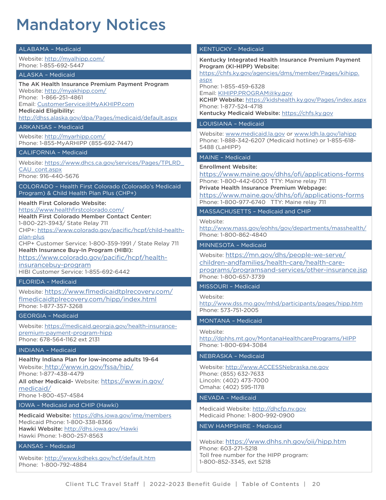|                                                                                                    | <b>KENTUCKY - Medicaid</b>                                                                                                       |
|----------------------------------------------------------------------------------------------------|----------------------------------------------------------------------------------------------------------------------------------|
| <b>ALABAMA - Medicaid</b>                                                                          |                                                                                                                                  |
| Website: http://myalhipp.com/<br>Phone: 1-855-692-5447                                             | Kentucky Integrated Health Insurance Premium Payment<br>Program (KI-HIPP) Website:                                               |
| <b>ALASKA - Medicaid</b>                                                                           | https://chfs.ky.gov/agencies/dms/member/Pages/kihipp.                                                                            |
| The AK Health Insurance Premium Payment Program                                                    | aspx<br>Phone: 1-855-459-6328                                                                                                    |
| Website: http://myakhipp.com/<br>Phone: 1-866-251-4861                                             | Email: KIHIPP.PROGRAM@ky.gov                                                                                                     |
| Email: CustomerService@MyAKHIPP.com                                                                | KCHIP Website: https://kidshealth.ky.gov/Pages/index.aspx                                                                        |
| <b>Medicaid Eligibility:</b>                                                                       | Phone: 1-877-524-4718<br>Kentucky Medicaid Website: https://chfs.ky.gov                                                          |
| http://dhss.alaska.gov/dpa/Pages/medicaid/default.aspx                                             | <b>LOUISIANA - Medicaid</b>                                                                                                      |
| <b>ARKANSAS - Medicaid</b>                                                                         |                                                                                                                                  |
| Website: http://myarhipp.com/<br>Phone: 1-855-MyARHIPP (855-692-7447)                              | Website: www.medicaid.la.gov or www.ldh.la.gov/lahipp<br>Phone: 1-888-342-6207 (Medicaid hotline) or 1-855-618-<br>5488 (LaHIPP) |
| <b>CALIFORNIA - Medicaid</b>                                                                       | <b>MAINE - Medicaid</b>                                                                                                          |
| Website: https://www.dhcs.ca.gov/services/Pages/TPLRD                                              | <b>Enrollment Website:</b>                                                                                                       |
| CAU cont.aspx<br>Phone: 916-440-5676                                                               | https://www.maine.gov/dhhs/ofi/applications-forms                                                                                |
|                                                                                                    | Phone: 1-800-442-6003 TTY: Maine relay 711                                                                                       |
| COLORADO - Health First Colorado (Colorado's Medicaid<br>Program) & Child Health Plan Plus (CHP+)  | Private Health Insurance Premium Webpage:                                                                                        |
| <b>Health First Colorado Website:</b>                                                              | https://www.maine.gov/dhhs/ofi/applications-forms<br>Phone: 1-800-977-6740 TTY: Maine relay 711                                  |
| https://www.healthfirstcolorado.com/                                                               | MASSACHUSETTS - Medicaid and CHIP                                                                                                |
| Health First Colorado Member Contact Center:                                                       |                                                                                                                                  |
| 1-800-221-3943/ State Relay 711<br>CHP+: https://www.colorado.gov/pacific/hcpf/child-health-       | Website:<br>http://www.mass.gov/eohhs/gov/departments/masshealth/                                                                |
| plan-plus                                                                                          | Phone: 1-800-862-4840                                                                                                            |
| CHP+ Customer Service: 1-800-359-1991 / State Relay 711<br>Health Insurance Buy-In Program (HIBI): | <b>MINNESOTA - Medicaid</b>                                                                                                      |
| https://www.colorado.gov/pacific/hcpf/health-                                                      | Website: https://mn.gov/dhs/people-we-serve/                                                                                     |
| insurancebuy-program                                                                               | children-andfamilies/health-care/health-care-                                                                                    |
| HIBI Customer Service: 1-855-692-6442                                                              | programs/programsand-services/other-insurance.jsp<br>Phone: 1-800-657-3739                                                       |
| <b>FLORIDA - Medicaid</b>                                                                          | MISSOURI - Medicaid                                                                                                              |
| Website: https://www.flmedicaidtplrecovery.com/                                                    | Website:                                                                                                                         |
| flmedicaidtplrecovery.com/hipp/index.html<br>Phone: 1-877-357-3268                                 | http://www.dss.mo.gov/mhd/participants/pages/hipp.htm                                                                            |
|                                                                                                    | Phone: 573-751-2005                                                                                                              |
| <b>GEORGIA - Medicaid</b>                                                                          | MONTANA - Medicaid                                                                                                               |
| Website: https://medicaid.georgia.gov/health-insurance-<br>premium-payment-program-hipp            | Website:                                                                                                                         |
| Phone: 678-564-1162 ext 2131                                                                       | http://dphhs.mt.gov/MontanaHealthcarePrograms/HIPP                                                                               |
| <b>INDIANA - Medicaid</b>                                                                          | Phone: 1-800-694-3084                                                                                                            |
| Healthy Indiana Plan for low-income adults 19-64                                                   | NEBRASKA - Medicaid                                                                                                              |
| Website: http://www.in.gov/fssa/hip/                                                               | Website: http://www.ACCESSNebraska.ne.gov                                                                                        |
| Phone: 1-877-438-4479                                                                              | Phone: (855) 632-7633<br>Lincoln: (402) 473-7000                                                                                 |
| All other Medicaid- Website: https://www.in.gov/<br>medicaid/                                      | Omaha: (402) 595-1178                                                                                                            |
| Phone 1-800-457-4584                                                                               | NEVADA - Medicaid                                                                                                                |
| IOWA - Medicaid and CHIP (Hawki)                                                                   | Medicaid Website: http://dhcfp.nv.gov                                                                                            |
| Medicaid Website: https://dhs.iowa.gov/ime/members                                                 | Medicaid Phone: 1-800-992-0900                                                                                                   |
| Medicaid Phone: 1-800-338-8366                                                                     | <b>NEW HAMPSHIRE - Medicaid</b>                                                                                                  |
| Hawki Website: http://dhs.iowa.gov/Hawki<br>Hawki Phone: 1-800-257-8563                            |                                                                                                                                  |
|                                                                                                    | Website: https://www.dhhs.nh.gov/oii/hipp.htm                                                                                    |
| <b>KANSAS - Medicaid</b>                                                                           | Phone: 603-271-5218                                                                                                              |
| Website: http://www.kdheks.gov/hcf/default.htm                                                     | Toll free number for the HIPP program:<br>1-800-852-3345, ext 5218                                                               |
| Phone: 1-800-792-4884                                                                              |                                                                                                                                  |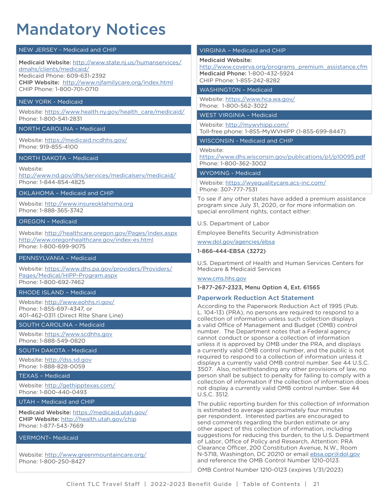#### NEW JERSEY - Medicaid and CHIP

Medicaid Website: [http://www.state.nj.us/humanservices/](http://www.state.nj.us/humanservices/
dmahs/clients/medicaid/) dmahs/clients/medicaid/ Medicaid Phone: 609-631-2392 CHIP Website: <http://www.njfamilycare.org/index.html> CHIP Phone: 1-800-701-0710

#### NEW YORK - Medicaid

Website: [https://www.health.ny.gov/health\\_care/medicaid/](https://www.health.ny.gov/health_care/medicaid/) Phone: 1-800-541-2831

#### NORTH CAROLINA – Medicaid

Website: https://medicaid.ncdhhs.gov/ Phone: 919-855-4100

#### NORTH DAKOTA – Medicaid

Website: http://www.nd.gov/dhs/services/medicalserv/medicaid/ Phone: 1-844-854-4825

#### OKLAHOMA – Medicaid and CHIP

Website:<http://www.insureoklahoma.org> Phone: 1-888-365-3742

#### OREGON – Medicaid

Website:<http://healthcare.oregon.gov/Pages/index.aspx> <http://www.oregonhealthcare.gov/index-es.html> Phone: 1-800-699-9075

#### PENNSYLVANIA – Medicaid

Website: https://www.dhs.pa.gov/providers/Providers/ Pages/Medical/HIPP-Program.aspx Phone: 1-800-692-7462

#### RHODE ISLAND – Medicaid

Website:<http://www.eohhs.ri.gov/> Phone: 1-855-697-4347, or 401-462-0311 (Direct RIte Share Line)

#### SOUTH CAROLINA – Medicaid

Website:<https://www.scdhhs.gov> Phone: 1-888-549-0820

SOUTH DAKOTA - Medicaid

Website:<http://dss.sd.gov> Phone: 1-888-828-0059

#### TEXAS – Medicaid

Website:<http://gethipptexas.com/> Phone: 1-800-440-0493

UTAH – Medicaid and CHIP

Medicaid Website: <https://medicaid.utah.gov/> CHIP Website: <http://health.utah.gov/chip> Phone: 1-877-543-7669

#### VERMONT– Medicaid

Website:<http://www.greenmountaincare.org/> Phone: 1-800-250-8427

#### VIRGINIA – Medicaid and CHIP

#### Medicaid Website:

http://www.coverva.org/programs\_premium\_assistance.cfm Medicaid Phone: 1-800-432-5924 CHIP Phone: 1-855-242-8282

WASHINGTON – Medicaid

Website: <https://www.hca.wa.gov/> Phone: 1-800-562-3022

WEST VIRGINIA – Medicaid

Website: <http://mywvhipp.com/> Toll-free phone: 1-855-MyWVHIPP (1-855-699-8447)

WISCONSIN - Medicaid and CHIP

#### Website:

<https://www.dhs.wisconsin.gov/publications/p1/p10095.pdf> Phone: 1-800-362-3002

#### WYOMING - Medicaid

Website: <https://wyequalitycare.acs-inc.com/> Phone: 307-777-7531

To see if any other states have added a premium assistance program since July 31, 2020, or for more information on special enrollment rights, contact either:

U.S. Department of Labor

Employee Benefits Security Administration

[www.dol.gov/agencies/ebsa](http://www.dol.gov/agencies/ebsa)

1-866-444-EBSA (3272)

U.S. Department of Health and Human Services Centers for Medicare & Medicaid Services

#### [www.cms.hhs.gov](http://www.cms.hhs.gov)

1-877-267-2323, Menu Option 4, Ext. 61565

#### Paperwork Reduction Act Statement

According to the Paperwork Reduction Act of 1995 (Pub. L. 104-13) (PRA), no persons are required to respond to a collection of information unless such collection displays a valid Office of Management and Budget (OMB) control number. The Department notes that a Federal agency cannot conduct or sponsor a collection of information unless it is approved by OMB under the PRA, and displays a currently valid OMB control number, and the public is not required to respond to a collection of information unless it displays a currently valid OMB control number. See 44 U.S.C. 3507. Also, notwithstanding any other provisions of law, no person shall be subject to penalty for failing to comply with a collection of information if the collection of information does not display a currently valid OMB control number. See 44 U.S.C. 3512.

The public reporting burden for this collection of information is estimated to average approximately four minutes per respondent. Interested parties are encouraged to send comments regarding the burden estimate or any other aspect of this collection of information, including suggestions for reducing this burden, to the U.S. Department of Labor, Office of Policy and Research, Attention: PRA Clearance Officer, 200 Constitution Avenue, N.W., Room N-5718, Washington, DC 20210 or email [ebsa.opr@dol.gov](mailto:ebsa.opr%40dol.gov?subject=) and reference the OMB Control Number 1210-0123.

OMB Control Number 1210-0123 (expires 1/31/2023)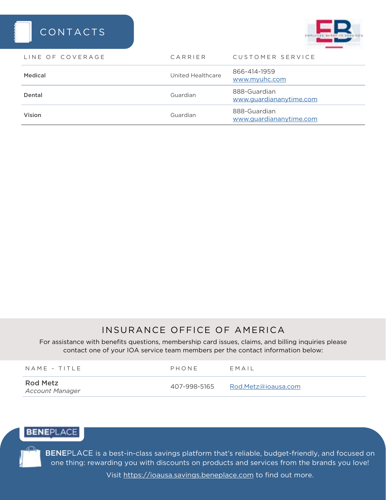### <span id="page-21-0"></span>CONTACTS



| LINE OF COVERAGE | CARRIER           | CUSTOMER SERVICE                        |
|------------------|-------------------|-----------------------------------------|
| Medical          | United Healthcare | 866-414-1959<br>www.myuhc.com           |
| Dental           | Guardian          | 888-Guardian<br>www.guardiananytime.com |
| Vision           | Guardian          | 888-Guardian<br>www.guardiananytime.com |

### INSURANCE OFFICE OF AMERICA

For assistance with benefits questions, membership card issues, claims, and billing inquiries please contact one of your IOA service team members per the contact information below:

| $NAMF - TITIF$              | PHONF        | FMAII               |
|-----------------------------|--------------|---------------------|
| Rod Metz<br>Account Manager | 407-998-5165 | Rod.Metz@ioausa.com |

#### **BENEPLACE**



BENEPLACE is a best-in-class savings platform that's reliable, budget-friendly, and focused on one thing: rewarding you with discounts on products and services from the brands you love!

Visit https://ioausa.savings.beneplace.com to find out more.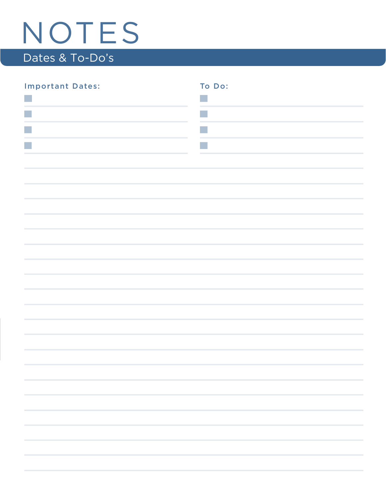# NOTES

## Dates & To-Do's

| <b>Important Dates:</b> | To Do:                 |
|-------------------------|------------------------|
|                         |                        |
|                         | <b>Service Service</b> |
|                         |                        |
|                         |                        |
|                         |                        |
|                         |                        |
|                         |                        |
|                         |                        |
|                         |                        |
|                         |                        |
|                         |                        |
|                         |                        |
|                         |                        |
|                         |                        |
|                         |                        |
|                         |                        |
|                         |                        |
|                         |                        |
|                         |                        |